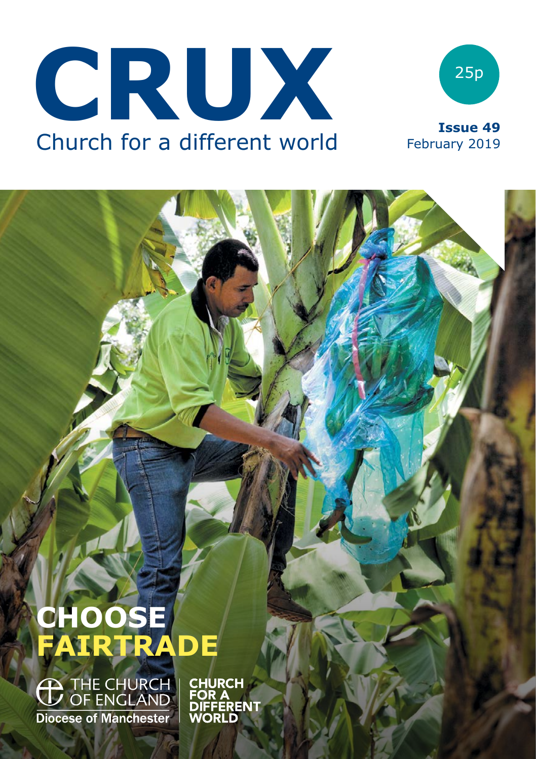



# **CHOOSE FAIRTRADE**

<sup>THE CHURCH</sub> | CHURCH<br>
OF ENGLAND | FOR A</sup> **Diocese of Manchester** 

**DIFFERENT WORLD**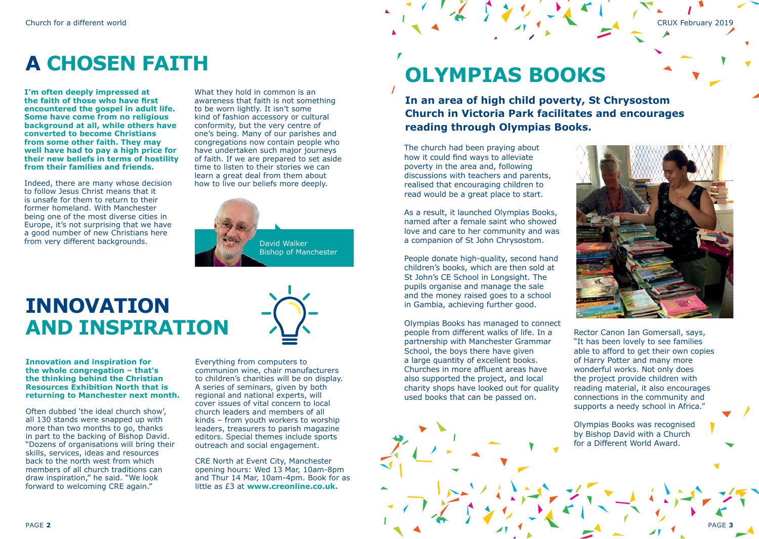## **A CHOSEN FAITH**

**I'm often deeply impressed at the faith of those who have first encountered the gospel in adult life. Some have come from no religious background at all, while others have converted to become Christians from some other faith. They may well have had to pay a high price for their new beliefs in terms of hostility from their families and friends.** 

Indeed, there are many whose decision to follow Jesus Christ means that it is unsafe for them to return to their former homeland. With Manchester being one of the most diverse cities in Europe, it's not surprising that we have a good number of new Christians here from very different backgrounds.

What they hold in common is an awareness that faith is not something to be worn lightly. It isn't some kind of fashion accessory or cultural conformity, but the very centre of one's being. Many of our parishes and congregations now contain people who have undertaken such major journeys of faith. If we are prepared to set aside time to listen to their stories we can learn a great deal from them about how to live our beliefs more deeply.



### **INNOVATION AND INSPIRATION**

**Innovation and inspiration for the whole congregation – that's the thinking behind the Christian Resources Exhibition North that is** 

**returning to Manchester next month.** 

Often dubbed 'the ideal church show', all 130 stands were snapped up with more than two months to go, thanks in part to the backing of Bishop David. "Dozens of organisations will bring their skills, services, ideas and resources back to the north west from which members of all church traditions can draw inspiration," he said. "We look forward to welcoming CRE again."

Everything from computers to communion wine, chair manufacturers to children's charities will be on display. A series of seminars, given by both regional and national experts, will cover issues of vital concern to local church leaders and members of all kinds – from youth workers to worship leaders, treasurers to parish magazine editors. Special themes include sports outreach and social engagement.

CRE North at Event City, Manchester opening hours: Wed 13 Mar, 10am-8pm and Thur 14 Mar, 10am-4pm. Book for as little as £3 at **[www.creonline.co.uk.](http://www.creonline.co.uk/)**

## **OLYMPIAS BOOKS**

**In an area of high child poverty, St Chrysostom Church in Victoria Park facilitates and encourages reading through Olympias Books.**

The church had been praying about how it could find ways to alleviate poverty in the area and, following discussions with teachers and parents, realised that encouraging children to read would be a great place to start.

As a result, it launched Olympias Books, named after a female saint who showed love and care to her community and was a companion of St John Chrysostom.

People donate high-quality, second hand children's books, which are then sold at St John's CE School in Longsight. The pupils organise and manage the sale and the money raised goes to a school in Gambia, achieving further good.

Olympias Books has managed to connect people from different walks of life. In a partnership with Manchester Grammar School, the boys there have given a large quantity of excellent books. Churches in more affluent areas have also supported the project, and local charity shops have looked out for quality used books that can be passed on.



Rector Canon Ian Gomersall, says, "It has been lovely to see families able to afford to get their own copies of Harry Potter and many more wonderful works. Not only does the project provide children with reading material, it also encourages connections in the community and supports a needy school in Africa."

Olympias Books was recognised by Bishop David with a Church for a Different World Award.

PAGE **3**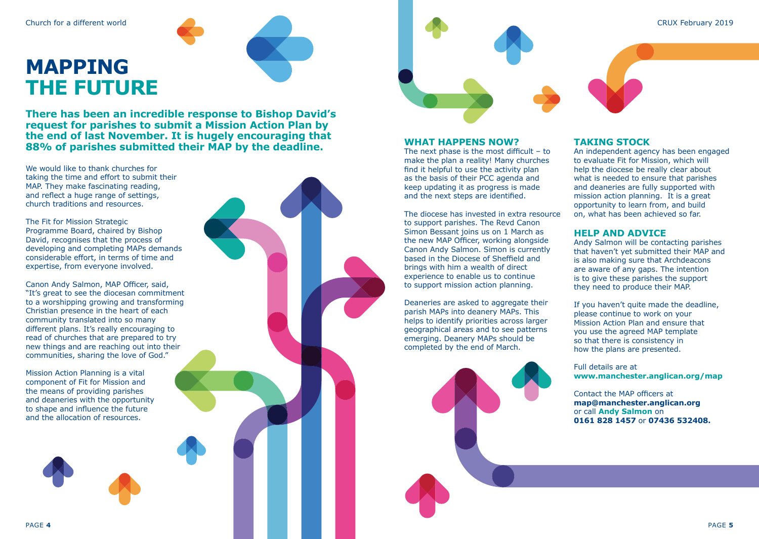CRUX February 2019

### **MAPPING THE FUTURE**

**There has been an incredible response to Bishop David's request for parishes to submit a Mission Action Plan by the end of last November. It is hugely encouraging that 88% of parishes submitted their MAP by the deadline.**

We would like to thank churches for taking the time and effort to submit their MAP. They make fascinating reading, and reflect a huge range of settings, church traditions and resources.

The Fit for Mission Strategic Programme Board, chaired by Bishop David, recognises that the process of developing and completing MAPs demands considerable effort, in terms of time and expertise, from everyone involved.

Canon Andy Salmon, MAP Officer, said, "It's great to see the diocesan commitment to a worshipping growing and transforming Christian presence in the heart of each community translated into so many different plans. It's really encouraging to read of churches that are prepared to try new things and are reaching out into their communities, sharing the love of God."

Mission Action Planning is a vital component of Fit for Mission and the means of providing parishes and deaneries with the opportunity to shape and influence the future and the allocation of resources.



### **WHAT HAPPENS NOW?**

The next phase is the most difficult – to make the plan a reality! Many churches find it helpful to use the activity plan as the basis of their PCC agenda and keep updating it as progress is made and the next steps are identified.

The diocese has invested in extra resource to support parishes. The Revd Canon Simon Bessant joins us on 1 March as the new MAP Officer, working alongside Canon Andy Salmon. Simon is currently based in the Diocese of Sheffield and brings with him a wealth of direct experience to enable us to continue to support mission action planning.

Deaneries are asked to aggregate their parish MAPs into deanery MAPs. This helps to identify priorities across larger geographical areas and to see patterns emerging. Deanery MAPs should be completed by the end of March.

### **TAKING STOCK**

An independent agency has been engaged to evaluate Fit for Mission, which will help the diocese be really clear about what is needed to ensure that parishes and deaneries are fully supported with mission action planning. It is a great opportunity to learn from, and build on, what has been achieved so far.

### **HELP AND ADVICE**

Andy Salmon will be contacting parishes that haven't yet submitted their MAP and is also making sure that Archdeacons are aware of any gaps. The intention is to give these parishes the support they need to produce their MAP.

If you haven't quite made the deadline. please continue to work on your Mission Action Plan and ensure that you use the agreed MAP template so that there is consistency in how the plans are presented.

Full details are at **[www.manchester.anglican.org/map](http://www.manchester.anglican.org/map)**

Contact the MAP officers at **[map@manchester.anglican.org](mailto:map@manchester.anglican.org)** or call **Andy Salmon** on **0161 828 1457** or **07436 532408.**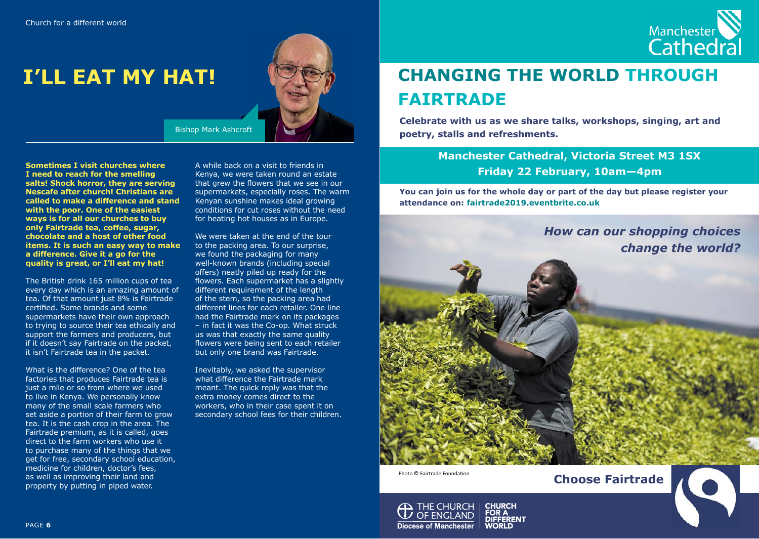

### **I'LL EAT MY HAT!**



Bishop Mark Ashcroft

**Sometimes I visit churches where I need to reach for the smelling salts! Shock horror, they are serving Nescafe after church! Christians are called to make a difference and stand with the poor. One of the easiest ways is for all our churches to buy only Fairtrade tea, coffee, sugar, chocolate and a host of other food items. It is such an easy way to make a difference. Give it a go for the quality is great, or I'll eat my hat!**

The British drink 165 million cups of tea every day which is an amazing amount of tea. Of that amount just 8% is Fairtrade certified. Some brands and some supermarkets have their own approach to trying to source their tea ethically and support the farmers and producers, but if it doesn't say Fairtrade on the packet, it isn't Fairtrade tea in the packet.

What is the difference? One of the tea factories that produces Fairtrade tea is just a mile or so from where we used to live in Kenya. We personally know many of the small scale farmers who set aside a portion of their farm to grow tea. It is the cash crop in the area. The Fairtrade premium, as it is called, goes direct to the farm workers who use it to purchase many of the things that we get for free, secondary school education, medicine for children, doctor's fees, as well as improving their land and property by putting in piped water.

A while back on a visit to friends in Kenya, we were taken round an estate that grew the flowers that we see in our supermarkets, especially roses. The warm Kenyan sunshine makes ideal growing conditions for cut roses without the need for heating hot houses as in Europe.

We were taken at the end of the tour to the packing area. To our surprise, we found the packaging for many well-known brands (including special offers) neatly piled up ready for the flowers. Each supermarket has a slightly different requirement of the length of the stem, so the packing area had different lines for each retailer. One line had the Fairtrade mark on its packages – in fact it was the Co-op. What struck us was that exactly the same quality flowers were being sent to each retailer but only one brand was Fairtrade.

Inevitably, we asked the supervisor what difference the Fairtrade mark meant. The quick reply was that the extra money comes direct to the workers, who in their case spent it on secondary school fees for their children.

### **CHANGING THE WORLD THROUGH FAIRTRADE**

**Celebrate with us as we share talks, workshops, singing, art and poetry, stalls and refreshments.**

> **Manchester Cathedral, Victoria Street M3 1SX Friday 22 February, 10am—4pm**

**You can join us for the whole day or part of the day but please register your attendance on: fairtrade2019.eventbrite.co.uk**



**Choose Fairtrade**

Photo © Fairtrade Foundation

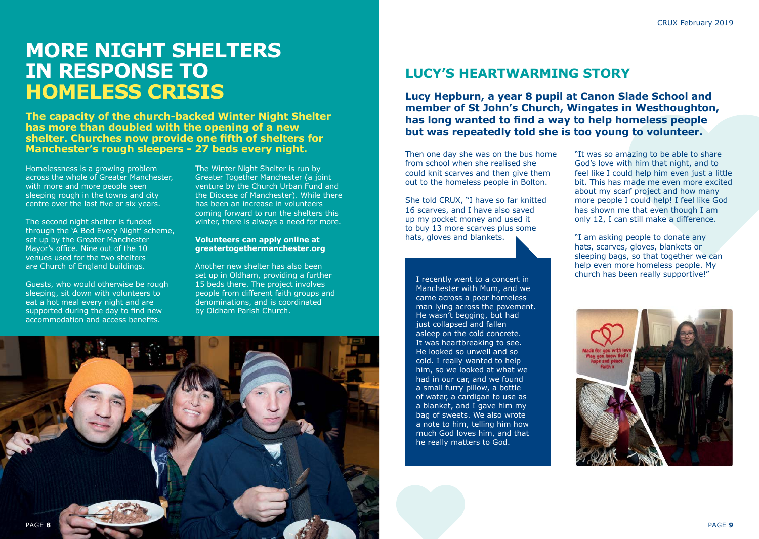### **MORE NIGHT SHELTERS IN RESPONSE TO HOMELESS CRISIS**

**The capacity of the church-backed Winter Night Shelter has more than doubled with the opening of a new shelter. Churches now provide one fifth of shelters for Manchester's rough sleepers - 27 beds every night.**

Homelessness is a growing problem across the whole of Greater Manchester, with more and more people seen sleeping rough in the towns and city centre over the last five or six years.

The second night shelter is funded through the 'A Bed Every Night' scheme, set up by the Greater Manchester Mayor's office. Nine out of the 10 venues used for the two shelters are Church of England buildings.

Guests, who would otherwise be rough sleeping, sit down with volunteers to eat a hot meal every night and are supported during the day to find new accommodation and access benefits.

The Winter Night Shelter is run by Greater Together Manchester (a joint venture by the Church Urban Fund and the Diocese of Manchester). While there has been an increase in volunteers coming forward to run the shelters this winter, there is always a need for more.

#### **Volunteers can apply online at [greatertogethermanchester.org](http://greatertogethermanchester.org/)**

Another new shelter has also been set up in Oldham, providing a further 15 beds there. The project involves people from different faith groups and denominations, and is coordinated by Oldham Parish Church.



**Lucy Hepburn, a year 8 pupil at Canon Slade School and member of St John's Church, Wingates in Westhoughton, has long wanted to find a way to help homeless people but was repeatedly told she is too young to volunteer.**

Then one day she was on the bus home from school when she realised she could knit scarves and then give them out to the homeless people in Bolton.

She told CRUX, "I have so far knitted 16 scarves, and I have also saved up my pocket money and used it to buy 13 more scarves plus some hats, gloves and blankets.

I recently went to a concert in Manchester with Mum, and we came across a poor homeless man lying across the pavement. He wasn't begging, but had just collapsed and fallen asleep on the cold concrete. It was heartbreaking to see. He looked so unwell and so cold. I really wanted to help him, so we looked at what we had in our car, and we found a small furry pillow, a bottle of water, a cardigan to use as a blanket, and I gave him my bag of sweets. We also wrote a note to him, telling him how much God loves him, and that he really matters to God.

"It was so amazing to be able to share God's love with him that night, and to feel like I could help him even just a little bit. This has made me even more excited about my scarf project and how many more people I could help! I feel like God has shown me that even though I am only 12, I can still make a difference.

"I am asking people to donate any hats, scarves, gloves, blankets or sleeping bags, so that together we can help even more homeless people. My church has been really supportive!"



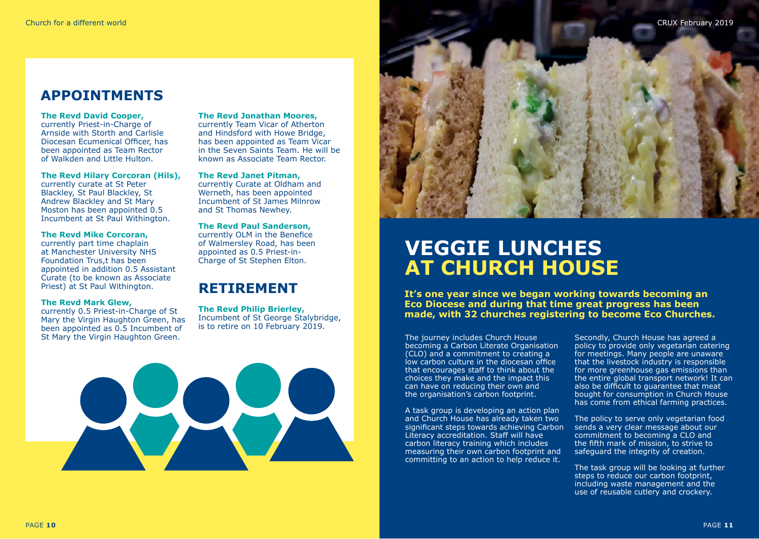### **APPOINTMENTS**

#### **The Revd David Cooper,**

currently Priest-in-Charge of Arnside with Storth and Carlisle Diocesan Ecumenical Officer, has been appointed as Team Rector of Walkden and Little Hulton.

#### **The Revd Hilary Corcoran (Hils),**

currently curate at St Peter Blackley, St Paul Blackley, St Andrew Blackley and St Mary Moston has been appointed 0.5 Incumbent at St Paul Withington.

#### **The Revd Mike Corcoran,**

currently part time chaplain at Manchester University NHS Foundation Trus,t has been appointed in addition 0.5 Assistant Curate (to be known as Associate Priest) at St Paul Withington.

#### **The Revd Mark Glew,**

currently 0.5 Priest-in-Charge of St Mary the Virgin Haughton Green, has been appointed as 0.5 Incumbent of St Mary the Virgin Haughton Green.

#### **The Revd Jonathan Moores,**

currently Team Vicar of Atherton and Hindsford with Howe Bridge, has been appointed as Team Vicar in the Seven Saints Team. He will be known as Associate Team Rector.

#### **The Revd Janet Pitman,**

currently Curate at Oldham and Werneth, has been appointed Incumbent of St James Milnrow and St Thomas Newhey.

#### **The Revd Paul Sanderson,** currently OLM in the Benefice

of Walmersley Road, has been appointed as 0.5 Priest-in-Charge of St Stephen Elton.

### **RETIREMENT**

**The Revd Philip Brierley,** Incumbent of St George Stalybridge, is to retire on 10 February 2019.





### **VEGGIE LUNCHES AT CHURCH HOUSE**

**It's one year since we began working towards becoming an Eco Diocese and during that time great progress has been made, with 32 churches registering to become Eco Churches.**

The journey includes Church House becoming a Carbon Literate Organisation (CLO) and a commitment to creating a low carbon culture in the diocesan office that encourages staff to think about the choices they make and the impact this can have on reducing their own and the organisation's carbon footprint.

A task group is developing an action plan and Church House has already taken two significant steps towards achieving Carbon Literacy accreditation. Staff will have carbon literacy training which includes measuring their own carbon footprint and committing to an action to help reduce it.

Secondly, Church House has agreed a policy to provide only vegetarian catering for meetings. Many people are unaware that the livestock industry is responsible for more greenhouse gas emissions than the entire global transport network! It can also be difficult to guarantee that meat bought for consumption in Church House has come from ethical farming practices.

The policy to serve only vegetarian food sends a very clear message about our commitment to becoming a CLO and the fifth mark of mission, to strive to safeguard the integrity of creation.

The task group will be looking at further steps to reduce our carbon footprint. including waste management and the use of reusable cutlery and crockery.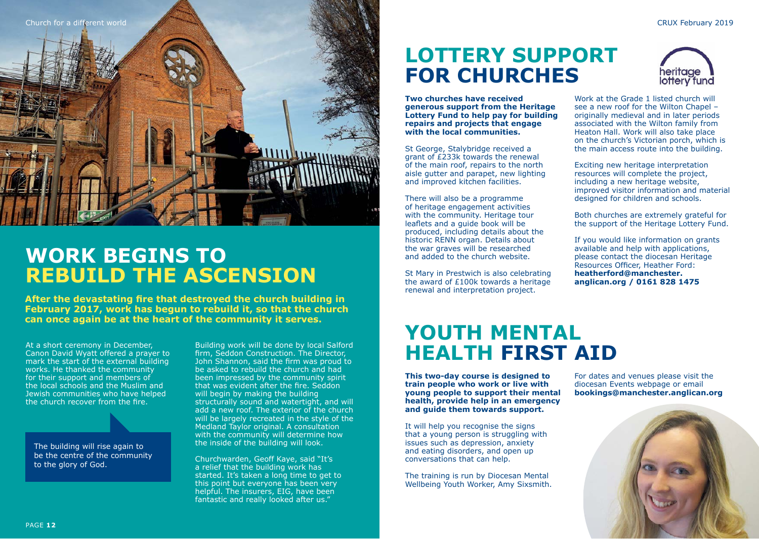

### **WORK BEGINS TO REBUILD THE ASCENSION**

**After the devastating fire that destroyed the church building in February 2017, work has begun to rebuild it, so that the church can once again be at the heart of the community it serves.**

At a short ceremony in December, Canon David Wyatt offered a prayer to mark the start of the external building works. He thanked the community for their support and members of the local schools and the Muslim and Jewish communities who have helped the church recover from the fire.

The building will rise again to be the centre of the community to the glory of God.

Building work will be done by local Salford firm, Seddon Construction. The Director, John Shannon, said the firm was proud to be asked to rebuild the church and had been impressed by the community spirit that was evident after the fire. Seddon will begin by making the building structurally sound and watertight, and will add a new roof. The exterior of the church will be largely recreated in the style of the Medland Taylor original. A consultation with the community will determine how the inside of the building will look.

Churchwarden, Geoff Kaye, said "It's a relief that the building work has started. It's taken a long time to get to this point but everyone has been very helpful. The insurers, EIG, have been fantastic and really looked after us."

### **LOTTERY SUPPORT FOR CHURCHES**

**Two churches have received generous support from the Heritage Lottery Fund to help pay for building repairs and projects that engage with the local communities.**

St George, Stalybridge received a grant of £233k towards the renewal of the main roof, repairs to the north aisle gutter and parapet, new lighting and improved kitchen facilities.

There will also be a programme of heritage engagement activities with the community. Heritage tour leaflets and a guide book will be produced, including details about the historic RENN organ. Details about the war graves will be researched and added to the church website.

St Mary in Prestwich is also celebrating the award of £100k towards a heritage renewal and interpretation project.

### **YOUTH MENTAL HEALTH FIRST AID**

**This two-day course is designed to train people who work or live with young people to support their mental health, provide help in an emergency and guide them towards support.** 

It will help you recognise the signs that a young person is struggling with issues such as depression, anxiety and eating disorders, and open up conversations that can help.

The training is run by Diocesan Mental Wellbeing Youth Worker, Amy Sixsmith.



CRUX February 2019

Work at the Grade 1 listed church will see a new roof for the Wilton Chapel – originally medieval and in later periods associated with the Wilton family from Heaton Hall. Work will also take place on the church's Victorian porch, which is the main access route into the building.

Exciting new heritage interpretation resources will complete the project, including a new heritage website, improved visitor information and material designed for children and schools.

Both churches are extremely grateful for the support of the Heritage Lottery Fund.

If you would like information on grants available and help with applications, please contact the diocesan Heritage Resources Officer, Heather Ford: **[heatherford@manchester.](mailto:heatherford@manchester.anglican.org) [anglican.org](mailto:heatherford@manchester.anglican.org) / 0161 828 1475**

For dates and venues please visit the diocesan Events webpage or email **[bookings@manchester.anglican.org](mailto:bookings@manchester.anglican.org)**

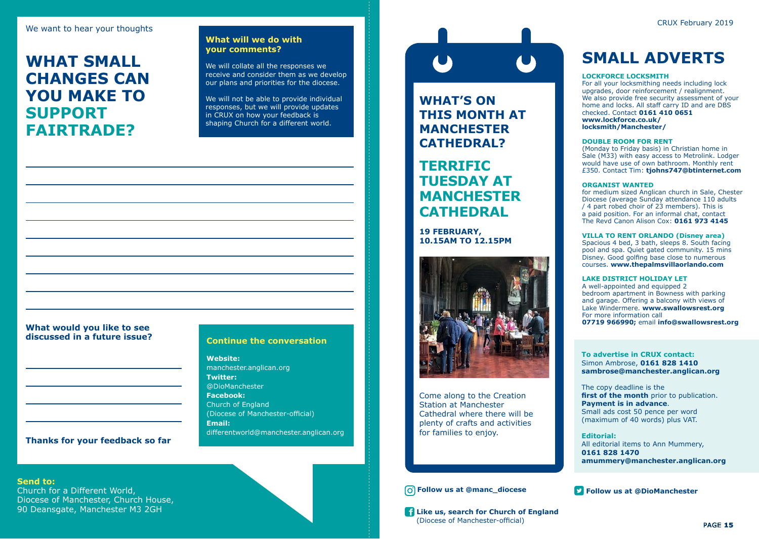We want to hear your thoughts and the contract of the contract of the contract of the contract of the contract of the contract of the contract of the contract of the contract of the contract of the contract of the contract

### **WHAT SMALL CHANGES CAN YOU MAKE TO SUPPORT FAIRTRADE?**

### **What will we do with your comments?**

We will collate all the responses we receive and consider them as we develop our plans and priorities for the diocese.

We will not be able to provide individual responses, but we will provide updates in CRUX on how your feedback is shaping Church for a different world.

### **What would you like to see**

#### **Continue the conversation**

**Website:** manchester.anglican.org **Twitter:** @DioManchester **Facebook:** Church of England (Diocese of Manchester-official) **Email:**  differentworld@manchester.anglican.org

**WHAT'S ON THIS MONTH AT MANCHESTER CATHEDRAL?**

### **TERRIFIC TUESDAY AT MANCHESTER CATHEDRAL**

**19 FEBRUARY, 10.15AM TO 12.15PM**



Come along to the Creation Station at Manchester Cathedral where there will be plenty of crafts and activities for families to enjoy.

#### *O* Follow us at @manc\_diocese **Follow us at @DioManchester**

**Like us, search for Church of England** (Diocese of Manchester-official)

### **SMALL ADVERTS**

#### **LOCKFORCE LOCKSMITH**

For all your locksmithing needs including lock upgrades, door reinforcement / realignment. We also provide free security assessment of your home and locks. All staff carry ID and are DBS checked. Contact **0161 410 0651 [www.lockforce.co.uk/](http://www.lockforce.co.uk/locksmith/Manchester/) [locksmith/Manchester/](http://www.lockforce.co.uk/locksmith/Manchester/)**

#### **DOUBLE ROOM FOR RENT**

(Monday to Friday basis) in Christian home in Sale (M33) with easy access to Metrolink. Lodger would have use of own bathroom. Monthly rent £350. Contact Tim: **[tjohns747@btinternet.com](mailto:tjohns747@btinternet.com)**

#### **ORGANIST WANTED**

for medium sized Anglican church in Sale, Chester Diocese (average Sunday attendance 110 adults / 4 part robed choir of 23 members). This is a paid position. For an informal chat, contact The Revd Canon Alison Cox: **0161 973 4145**

#### **VILLA TO RENT ORLANDO (Disney area)**

Spacious 4 bed, 3 bath, sleeps 8. South facing pool and spa. Quiet gated community. 15 mins Disney. Good golfing base close to numerous courses. **www.thepalmsvillaorlando.com**

#### **LAKE DISTRICT HOLIDAY LET**

A well-appointed and equipped 2 bedroom apartment in Bowness with parking and garage. Offering a balcony with views of Lake Windermere. **[www.swallowsrest.org](http://www.swallowsrest.org)** For more information call **07719 966990;** email **[info@swallowsrest.org](mailto:info@swallowsrest.org)**

#### **To advertise in CRUX contact:** Simon Ambrose, **0161 828 1410 sambrose@manchester.anglican.org**

The copy deadline is the first of the month prior to publication. **Payment is in advance**. Small ads cost 50 pence per word (maximum of 40 words) plus VAT.

**Editorial:** All editorial items to Ann Mummery, **0161 828 1470 amummery@manchester.anglican.org**

**Send to:**

Church for a Different World, Diocese of Manchester, Church House, 90 Deansgate, Manchester M3 2GH

**Thanks for your feedback so far**